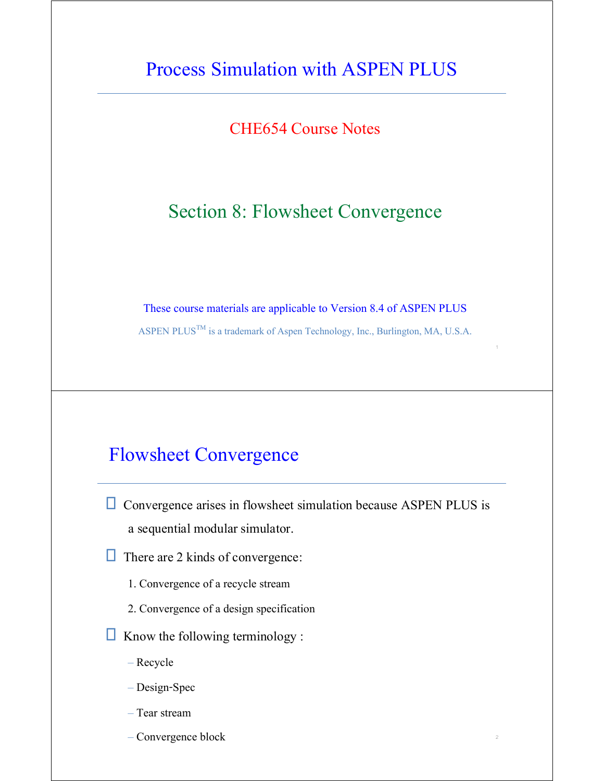CHE654 Course Notes

## Section 8: Flowsheet Convergence

These course materials are applicable to Version 8.4 of ASPEN PLUS

ASPEN PLUS<sup>TM</sup> is a trademark of Aspen Technology, Inc., Burlington, MA, U.S.A.

1

2

### Flowsheet Convergence

 $\Box$  Convergence arises in flowsheet simulation because ASPEN PLUS is a sequential modular simulator.

 $\Box$  There are 2 kinds of convergence:

- 1. Convergence of a recycle stream
- 2. Convergence of a design specification

 $\Box$  Know the following terminology :

- Recycle
- Design-Spec
- Tear stream
- Convergence block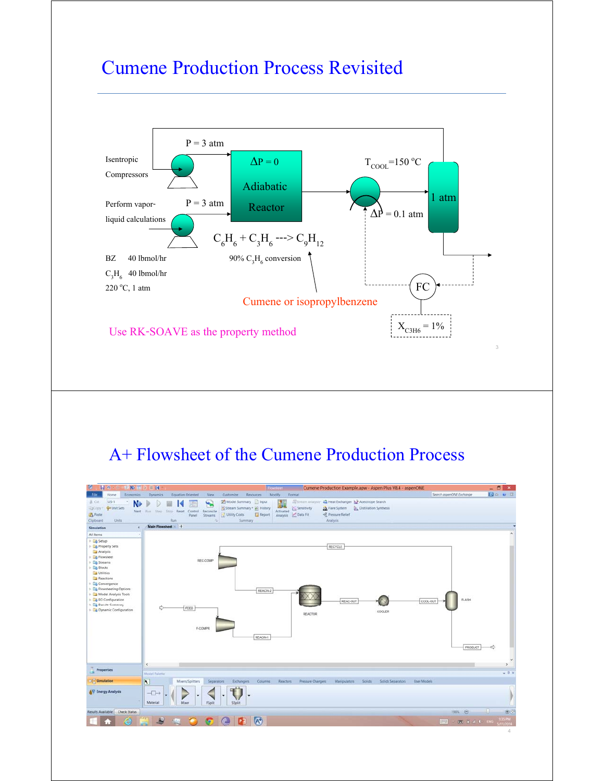

# Cumene Production Process Revisited

# A+ Flowsheet of the Cumene Production Process

| <b>IH</b> o<br><b>SENA DE DE DE DE</b><br><b>KO</b>                                                                                                                                                                                                                                                                                                 |                                                                                                                                                                                                                                                                                                                                                                                                                                                   |                           |                     |
|-----------------------------------------------------------------------------------------------------------------------------------------------------------------------------------------------------------------------------------------------------------------------------------------------------------------------------------------------------|---------------------------------------------------------------------------------------------------------------------------------------------------------------------------------------------------------------------------------------------------------------------------------------------------------------------------------------------------------------------------------------------------------------------------------------------------|---------------------------|---------------------|
| <b>File</b><br>Home                                                                                                                                                                                                                                                                                                                                 | <b>Flowsheet</b><br>Cumene Production Example.apw - Aspen Plus V8.4 - aspenONE<br>Modify<br>Format<br><b>Wew</b><br>Customize<br>Resources                                                                                                                                                                                                                                                                                                        | Search asperIONE Exchange | $- 6x$<br>200003    |
| Economics<br>US-1<br>A Cut<br>×<br>N<br><b>G</b> Unit Sets<br>EaCopy:<br><b>Paste</b><br>Clipboard<br><b>Units</b>                                                                                                                                                                                                                                  | <b>Dynamics</b><br><b>Equation Oriented</b><br>Stream Analysis: 44 Heat Exchanger & Azeotrope Search<br>Model Summary Input<br>т<br>μ,<br>Stream Summary * @ History<br>Sensitivity<br><b>Distillation Synthesis</b><br><b>J.A.</b> Flare System<br>Next From Step Stop Reset Control<br>Reconcile<br>Activated<br>Report<br><3, Pressure Relief<br>Utility Costs<br>Analysis Data Fit<br>Streams<br>Panel.<br>Run.<br>Analysis.<br>Summary<br>r. |                           |                     |
| ×<br>Simulation                                                                                                                                                                                                                                                                                                                                     | Main Flowsheet +                                                                                                                                                                                                                                                                                                                                                                                                                                  |                           |                     |
| All Items<br>٠<br><b>Dig Setup</b><br><b>E</b> Property Sets<br>Analysis<br><b>D</b> Flowsheet<br>> Ca Streams<br>$\triangleright$ $\Box$ Blocks<br><b>Da</b> Utilities<br>Reactions<br><b>E</b> Convergence<br>> La Flowsheeting Options<br>> Model Analysis Tools<br><b>EO</b> Configuration<br>> Consitt Summary<br><b>Dynamic Configuration</b> | RECYCLE<br>REC-COMP<br>REACIN2<br>REAC-OUT<br>COOL-OUT<br>FEED<br>COOLER<br><b>REACTOR</b><br>F-COMPR<br>REACIN-1                                                                                                                                                                                                                                                                                                                                 | <b>FLASH</b><br>PRODUCT   | u                   |
| <b>Properties</b>                                                                                                                                                                                                                                                                                                                                   | $\epsilon$                                                                                                                                                                                                                                                                                                                                                                                                                                        |                           |                     |
|                                                                                                                                                                                                                                                                                                                                                     | Model Palette                                                                                                                                                                                                                                                                                                                                                                                                                                     |                           | $-1x$               |
| Simulation                                                                                                                                                                                                                                                                                                                                          | $\overline{\mathbf{R}}$<br><b>Exchangers</b><br>Columns<br>Pressure Changers<br><b>Manipulators</b><br>Solids Separators<br><b>User Models</b><br>Mixers/Splitters<br>Separators<br>Reactors<br><b>Solids</b>                                                                                                                                                                                                                                     |                           |                     |
| <b>AV</b> Energy Analysis                                                                                                                                                                                                                                                                                                                           | $\neg$<br>٠<br>٠<br>Material<br>SSplit<br>Mixer<br>FSplit                                                                                                                                                                                                                                                                                                                                                                                         |                           |                     |
| <b>Check Status</b><br>Results Available                                                                                                                                                                                                                                                                                                            |                                                                                                                                                                                                                                                                                                                                                                                                                                                   | 190% <b>@</b>             | -0<br>$\bigoplus$   |
| e                                                                                                                                                                                                                                                                                                                                                   | A)<br>$(A^{\dagger})$<br>īо<br>u.                                                                                                                                                                                                                                                                                                                                                                                                                 |                           | 9.35 PM<br>/11/2014 |
|                                                                                                                                                                                                                                                                                                                                                     |                                                                                                                                                                                                                                                                                                                                                                                                                                                   |                           | $\overline{4}$      |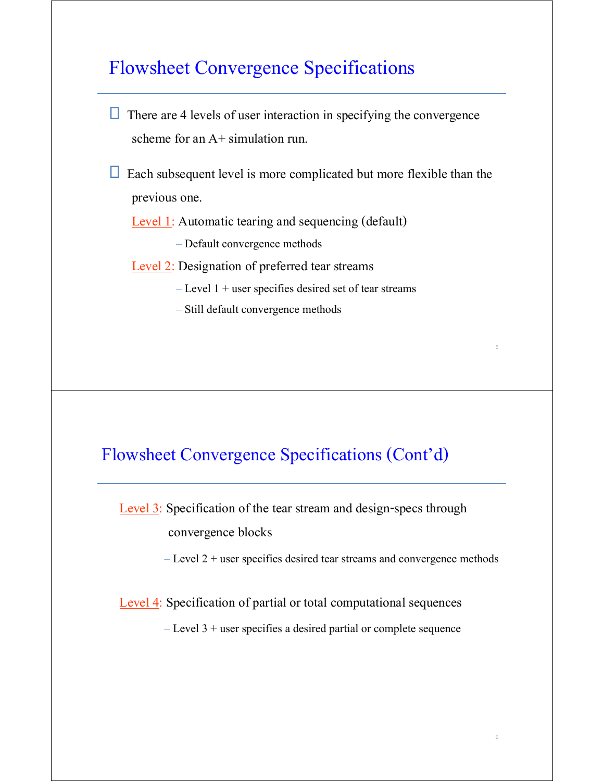## Flowsheet Convergence Specifications

- $\Box$  There are 4 levels of user interaction in specifying the convergence scheme for an  $A+$  simulation run.
- $\Box$  Each subsequent level is more complicated but more flexible than the previous one.

Level 1: Automatic tearing and sequencing (default)

– Default convergence methods

Level 2: Designation of preferred tear streams

- $-$  Level 1 + user specifies desired set of tear streams
- Still default convergence methods

#### Flowsheet Convergence Specifications (Cont'd)

Level 3: Specification of the tear stream and design-specs through convergence blocks

– Level 2 + user specifies desired tear streams and convergence methods

5

6

Level 4: Specification of partial or total computational sequences

– Level 3 + user specifies a desired partial or complete sequence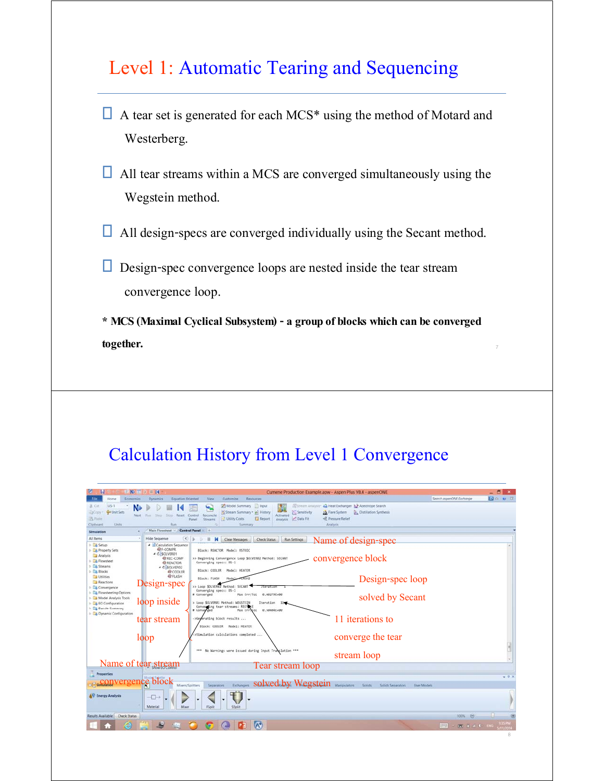# Level 1: Automatic Tearing and Sequencing

- $\Box$  A tear set is generated for each MCS<sup>\*</sup> using the method of Motard and Westerberg.
- $\Box$  All tear streams within a MCS are converged simultaneously using the Wegstein method.
- $\Box$  All design-specs are converged individually using the Secant method.

 $\Box$  Design-spec convergence loops are nested inside the tear stream convergence loop.

**\* MCS (Maximal Cyclical Subsystem) - a group of blocks which can be converged together.**

7

#### Calculation History from Level 1 Convergence

| <b>武陵軍長軍員</b>                                      |                                             |                                                                                  |                                            | Cumene Production Example.apw - Aspen Plus V8.4 - aspenONE |                        |                    |                            | $- 61 x$ |
|----------------------------------------------------|---------------------------------------------|----------------------------------------------------------------------------------|--------------------------------------------|------------------------------------------------------------|------------------------|--------------------|----------------------------|----------|
| Economics<br>Home                                  | <b>Equation Oriented</b><br><b>Dynamics</b> | <b>Wew</b><br>Customize<br><b>Resources</b>                                      |                                            |                                                            |                        |                    | Search aspenONE Exchange   | 90 W B   |
| <b>US-1</b><br>& Cut                               |                                             | Model Summary Input                                                              |                                            | Stream Analysis: 44 Heat Exchanger & Azeotrope Search      |                        |                    |                            |          |
| <b>Ga Unit Sets</b><br>23Copy                      |                                             | щ.<br>Stream Summary · @ History                                                 | Sensitivity                                | <b>J.A.</b> Flare System                                   | Distillation Synthesis |                    |                            |          |
| Next.<br><b>TS Paste</b>                           | Step.<br>Ford.                              | Sting Reset Control Reconcile<br>Utility Costs<br>Report<br>Panel.<br>Streams    | Activated<br>Analysis Cata Fit             | <3 Pressure Relief                                         |                        |                    |                            |          |
| <b>Units</b><br>Clipboard                          | Ran                                         | Summary                                                                          |                                            | Analysis.                                                  |                        |                    |                            |          |
| Simulation                                         | Main Flowsheet / Control Panel / +          |                                                                                  |                                            |                                                            |                        |                    |                            |          |
| All Items                                          | <b>Hide Sequence</b>                        | $\left  \right $<br>$\mathbf{H}$<br>$\mathbf{R}$<br>Clear Messages<br>D.         | <b>Check Status</b><br><b>Run Settings</b> |                                                            | Name of design-spec    |                    |                            |          |
| <b>Dig Setup</b><br><b>E</b> Property Sets         | - al Calculation Sequence<br>@F-COMPR       | Block: REACTOR Model: RSTOIC                                                     |                                            |                                                            |                        |                    |                            |          |
| Analysis                                           | ▲ COSOLVER01                                |                                                                                  |                                            |                                                            |                        |                    |                            |          |
| <b>Ed Flowsheet</b>                                | <b>OREC-COMP</b><br><b>@REACTOR</b>         | >> Beginning Convergence Loop \$0LVER02 Method: SECANT<br>Converging specs: DS-1 |                                            |                                                            | convergence block      |                    |                            |          |
| > Ca Streams                                       | <b>C-SOLVER02</b>                           | Block: COOLER<br>Model: HEATER                                                   |                                            |                                                            |                        |                    |                            |          |
| $\triangleright$ $\Box$ Blocks<br><b>Utilities</b> | @ COOLER<br><b><i><b>@FLASH</b></i></b>     |                                                                                  |                                            |                                                            |                        |                    |                            |          |
| Reactions                                          |                                             | Block: FLASH<br>Model                                                            |                                            |                                                            | Design-spec loop       |                    |                            |          |
| Convergence                                        | Design-spec                                 | >> Loop \$OLVER02 Method: SECANT<br>Converging specs: DS-1                       |                                            |                                                            |                        |                    |                            |          |
| <b>B</b> Flowsheeting Options                      |                                             | # Converged<br>Max Err/Tol 0.40279E+00                                           |                                            |                                                            |                        |                    |                            |          |
| Model Analysis Tools<br>EO Configuration           | loop inside                                 | > Loop \$OLVER01 Method: WEGSTEIN                                                | Iteration 11                               |                                                            | solved by Secant       |                    |                            |          |
| <b>B</b> Results Summary                           |                                             | Conventing tear streams: RECYCLE<br>Max Err/Tol<br># Converged                   | 0.50404E+00                                |                                                            |                        |                    |                            |          |
| > Dynamic Configuration                            |                                             |                                                                                  |                                            |                                                            |                        |                    |                            |          |
|                                                    | tear stream                                 | >Generating block results                                                        |                                            |                                                            | 11 iterations to       |                    |                            |          |
|                                                    |                                             | Block: COOLER Model: HEATER                                                      |                                            |                                                            |                        |                    |                            |          |
|                                                    | loop                                        | >Simulation calculations completed                                               |                                            |                                                            | converge the tear      |                    |                            |          |
|                                                    |                                             |                                                                                  |                                            |                                                            |                        |                    |                            |          |
|                                                    |                                             | *** No Warnings were issued during Input Translation ***                         |                                            |                                                            |                        |                    |                            |          |
|                                                    |                                             |                                                                                  |                                            |                                                            | stream loop            |                    |                            |          |
| Name of tear stream                                |                                             |                                                                                  | Tear stream loop                           |                                                            |                        |                    |                            |          |
| Properties                                         |                                             |                                                                                  |                                            |                                                            |                        |                    |                            |          |
|                                                    |                                             |                                                                                  |                                            |                                                            |                        |                    |                            | $-9x$    |
| s convergence block                                |                                             | Mixers/Splitters<br>Separators<br>Exchangers                                     |                                            | solved by Wegstein Manputators Soiles                      | Solids Separators      | <b>User Models</b> |                            |          |
|                                                    |                                             |                                                                                  |                                            |                                                            |                        |                    |                            |          |
| <b>AV Energy Analysis</b>                          | $\overline{+}$                              |                                                                                  |                                            |                                                            |                        |                    |                            |          |
|                                                    | Material<br>Mixer                           | FSplit<br>SSplit                                                                 |                                            |                                                            |                        |                    |                            |          |
| Results Available<br><b>Check Status</b>           |                                             |                                                                                  |                                            |                                                            |                        |                    | 100% ©                     |          |
|                                                    |                                             |                                                                                  |                                            |                                                            |                        |                    |                            |          |
|                                                    |                                             | A                                                                                |                                            |                                                            |                        |                    | $- 14.14$<br><b>FELLER</b> |          |
|                                                    |                                             |                                                                                  |                                            |                                                            |                        |                    |                            | 8        |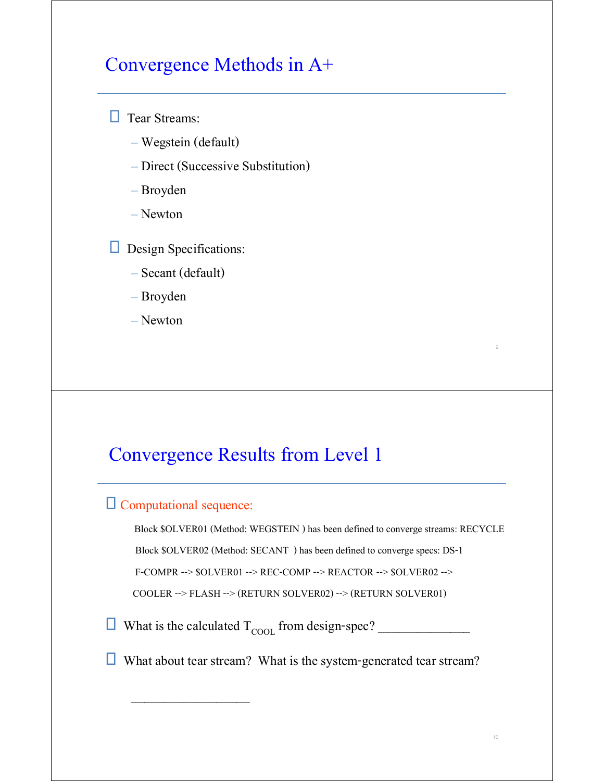# Convergence Methods in A+

**T** Tear Streams:

- Wegstein (default)
- Direct (Successive Substitution)
- Broyden
- Newton
- **Design Specifications:** 
	- Secant (default)
	- Broyden
	- Newton

# Convergence Results from Level 1

#### Computational sequence:

 $\overline{\phantom{a}}$  ,  $\overline{\phantom{a}}$  ,  $\overline{\phantom{a}}$  ,  $\overline{\phantom{a}}$  ,  $\overline{\phantom{a}}$  ,  $\overline{\phantom{a}}$  ,  $\overline{\phantom{a}}$  ,  $\overline{\phantom{a}}$  ,  $\overline{\phantom{a}}$  ,  $\overline{\phantom{a}}$  ,  $\overline{\phantom{a}}$  ,  $\overline{\phantom{a}}$  ,  $\overline{\phantom{a}}$  ,  $\overline{\phantom{a}}$  ,  $\overline{\phantom{a}}$  ,  $\overline{\phantom{a}}$ 

 Block \$OLVER01 (Method: WEGSTEIN ) has been defined to converge streams: RECYCLE Block \$OLVER02 (Method: SECANT ) has been defined to converge specs: DS-1 F-COMPR --> \$OLVER01 --> REC-COMP --> REACTOR --> \$OLVER02 --> COOLER --> FLASH --> (RETURN \$OLVER02) --> (RETURN \$OLVER01)

- What is the calculated TCOOL from design-spec? \_\_\_\_\_\_\_\_\_\_\_\_\_\_
- What about tear stream? What is the system-generated tear stream?

9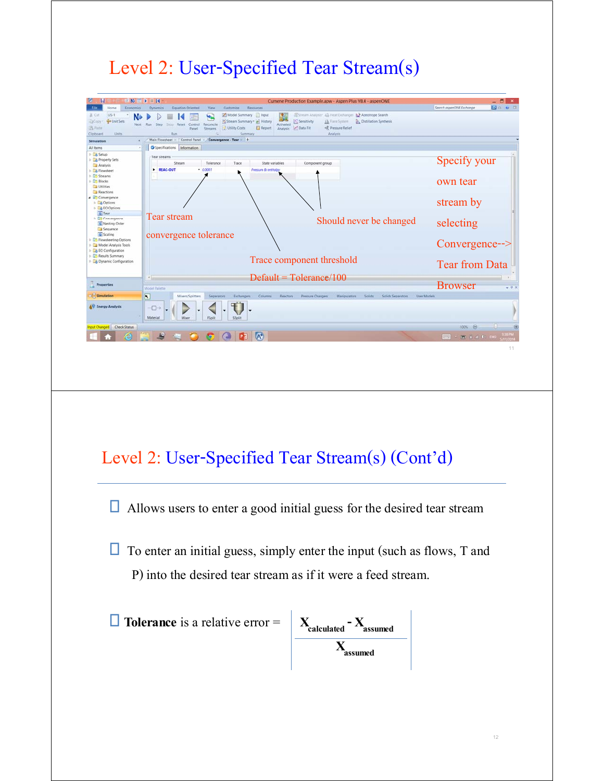# Level 2: User-Specified Tear Stream(s)

| <b>PA</b> Paide<br>Clipboard<br>Units                                     | Utility Costs<br><b>El Report</b><br>Panel<br>Streams<br>Run<br>Summary                                                    | Analysis M Data Fit<br><r pressure="" relief<br="">Analysis</r>                 |                           |
|---------------------------------------------------------------------------|----------------------------------------------------------------------------------------------------------------------------|---------------------------------------------------------------------------------|---------------------------|
| Simulation                                                                | Main Flowsheet<br>Control Panel 10<br>Convergence - Tear +                                                                 |                                                                                 |                           |
| All items                                                                 | Specifications Information                                                                                                 |                                                                                 |                           |
| P Las Setup<br>Property Sets<br>Analysis<br>Flowsheet                     | Tear streams<br>Stream<br>Tolerance<br>Trace<br>State variables<br><b>REAC-OUT</b><br>$- 00001$<br>Pressure & enthalpy     | Component group                                                                 | Specify your              |
| <b>Co</b> Streams<br><b>En Blocks</b><br><b>Utilities</b><br>Reactions    |                                                                                                                            |                                                                                 | own tear                  |
| Convergence<br><b>D</b> Options<br><b>E</b> EO Options                    |                                                                                                                            |                                                                                 | stream by                 |
| o Tear<br>b <b>C</b> Convergence<br>Nesting Order<br>Sequence             | Tear stream                                                                                                                | Should never be changed                                                         | selecting                 |
| G Scaling<br><b>ED</b> Flowsheeting Options<br>Model Analysis Tools       | convergence tolerance                                                                                                      |                                                                                 | $Convergence\rightarrow$  |
| EO Configuration<br><b>B. ID Results Summary</b><br>Dynamic Configuration |                                                                                                                            | Trace component threshold                                                       | <b>Tear from Data</b>     |
|                                                                           |                                                                                                                            | $Default = Tolerance/100$                                                       |                           |
| Properties                                                                |                                                                                                                            |                                                                                 | <b>Browser</b><br>$-73$   |
| Simulation                                                                | <b>Model Palette</b><br>$\overline{\mathbf{R}}$<br>Mixers/Splitters<br>Exchangers Columns<br><b>Separators</b><br>Reactors | User Models<br>Solids<br>Solids Separators<br>Pressure Changers<br>Manipulators |                           |
|                                                                           |                                                                                                                            |                                                                                 |                           |
| AV Energy Analysis                                                        | $\overline{\bigoplus}$                                                                                                     |                                                                                 |                           |
|                                                                           | <b>Material</b><br>FSplit<br>Mixe<br>SSplit                                                                                |                                                                                 |                           |
| put Changed Check Status                                                  |                                                                                                                            |                                                                                 | 100% @                    |
|                                                                           | $P1$ $A^*$                                                                                                                 |                                                                                 | E 14 0 846<br><b>FEET</b> |
|                                                                           |                                                                                                                            |                                                                                 | 11                        |
|                                                                           |                                                                                                                            |                                                                                 |                           |
|                                                                           |                                                                                                                            |                                                                                 |                           |
|                                                                           |                                                                                                                            |                                                                                 |                           |
|                                                                           |                                                                                                                            |                                                                                 |                           |
|                                                                           |                                                                                                                            |                                                                                 |                           |
|                                                                           |                                                                                                                            |                                                                                 |                           |
|                                                                           |                                                                                                                            |                                                                                 |                           |
|                                                                           |                                                                                                                            |                                                                                 |                           |
|                                                                           |                                                                                                                            |                                                                                 |                           |

Allows users to enter a good initial guess for the desired tear stream

 $\Box$  To enter an initial guess, simply enter the input (such as flows, T and P) into the desired tear stream as if it were a feed stream.

 **Tolerance** is a relative error = **Xcalculated - Xassumed Xassumed**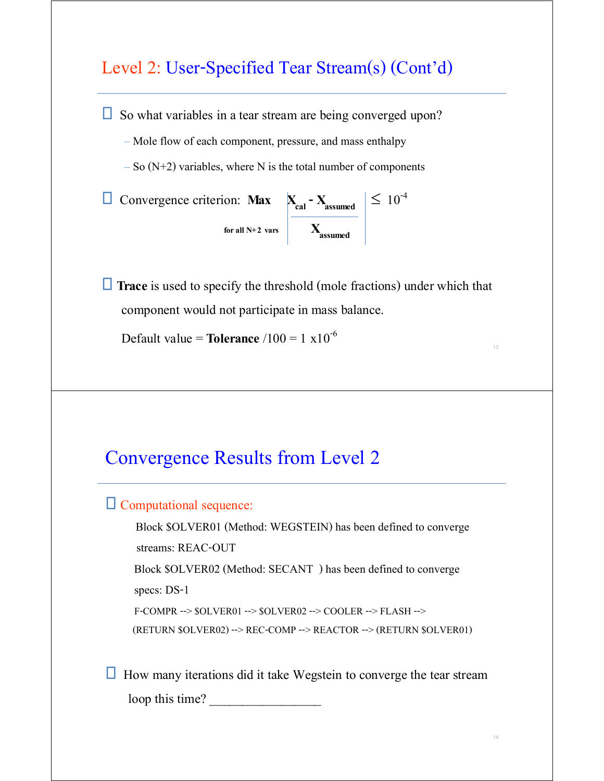### Level 2: User-Specified Tear Stream(s) (Cont'd)

 $\Box$  So what variables in a tear stream are being converged upon?

– Mole flow of each component, pressure, and mass enthalpy

 $-$  So (N+2) variables, where N is the total number of components

| ධ Convergence criterion: <b>Max</b> | $X_{cal} - X_{assumed}$ | $\leq 10^{-4}$ |
|-------------------------------------|-------------------------|----------------|
| for all N+2 vars                    | $X_{assumed}$           | $X_{assumed}$  |

**Trace** is used to specify the threshold (mole fractions) under which that component would not participate in mass balance.

**Default value = <b>Tolerance**  $/100 = 1 \times 10^{-6}$ 

### Convergence Results from Level 2

#### $\Box$  Computational sequence:

 Block \$OLVER01 (Method: WEGSTEIN) has been defined to converge streams: REAC-OUT Block \$OLVER02 (Method: SECANT ) has been defined to converge specs: DS-1 F-COMPR --> \$OLVER01 --> \$OLVER02 --> COOLER --> FLASH --> (RETURN \$OLVER02) --> REC-COMP --> REACTOR --> (RETURN \$OLVER01)

 $\Box$  How many iterations did it take Wegstein to converge the tear stream

loop this time?

13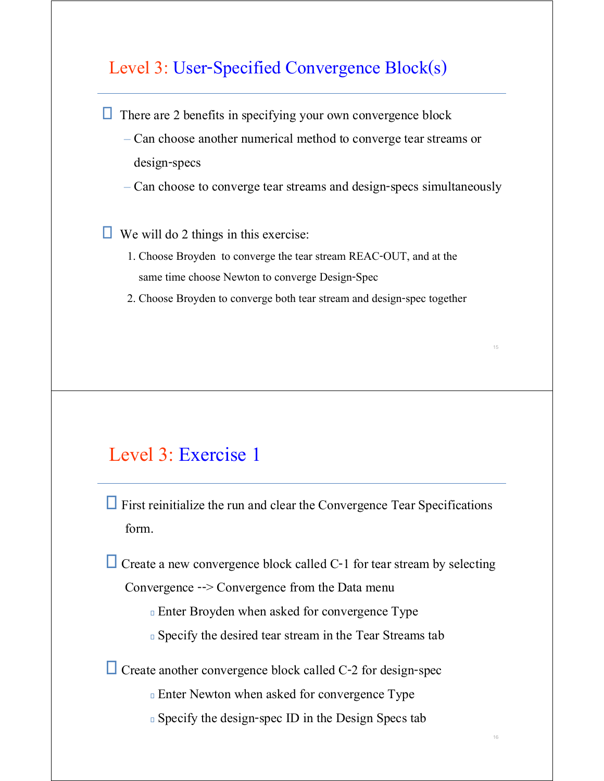#### Level 3: User-Specified Convergence Block(s)

 $\Box$  There are 2 benefits in specifying your own convergence block

- Can choose another numerical method to converge tear streams or design-specs
- Can choose to converge tear streams and design-specs simultaneously

 $\Box$  We will do 2 things in this exercise:

- 1. Choose Broyden to converge the tear stream REAC-OUT, and at the same time choose Newton to converge Design-Spec
- 2. Choose Broyden to converge both tear stream and design-spec together

15

16

#### Level 3: Exercise 1

 $\Box$  First reinitialize the run and clear the Convergence Tear Specifications form.

 $\Box$  Create a new convergence block called C-1 for tear stream by selecting

Convergence --> Convergence from the Data menu

Enter Broyden when asked for convergence Type

Specify the desired tear stream in the Tear Streams tab

 $\Box$  Create another convergence block called C-2 for design-spec

Enter Newton when asked for convergence Type

Specify the design-spec ID in the Design Specs tab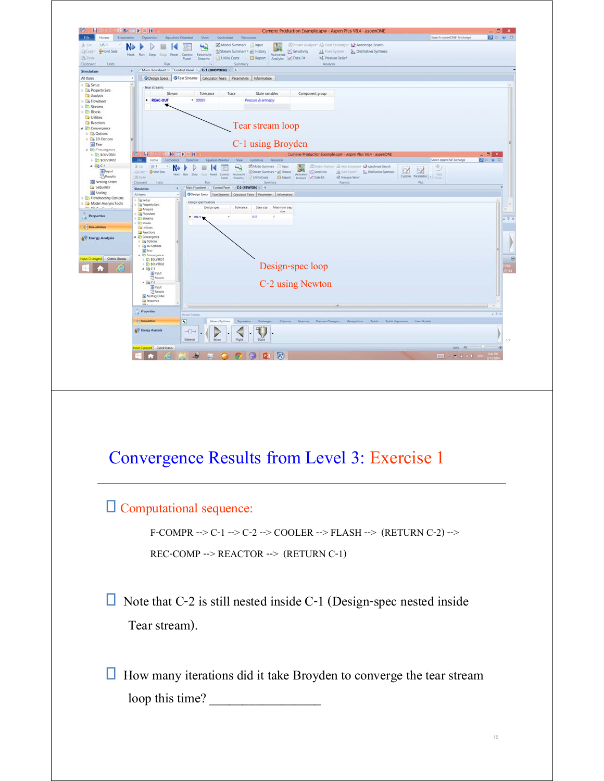

### Convergence Results from Level 3: Exercise 1

#### Computational sequence:

F-COMPR --> C-1 --> C-2 --> COOLER --> FLASH --> (RETURN C-2) --> REC-COMP --> REACTOR --> (RETURN C-1)

 $\Box$  Note that C-2 is still nested inside C-1 (Design-spec nested inside Tear stream).

 $\Box$  How many iterations did it take Broyden to converge the tear stream loop this time?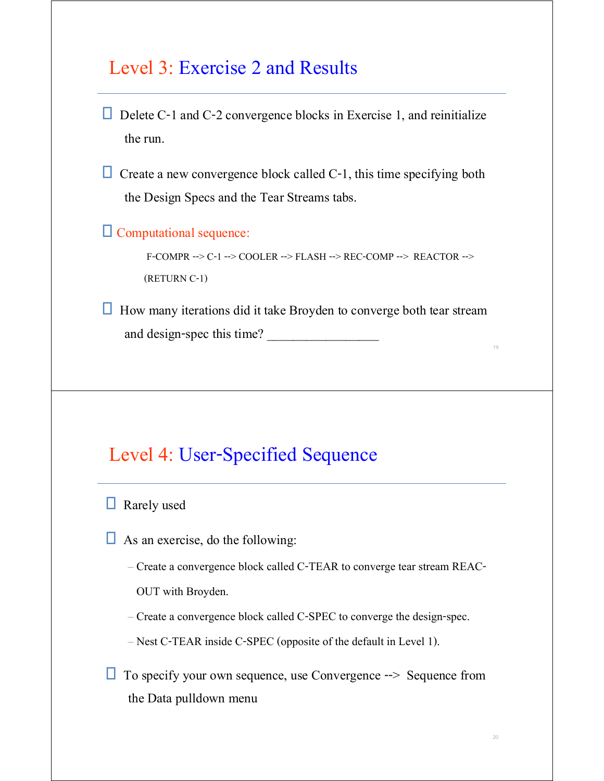### Level 3: Exercise 2 and Results

- Delete C-1 and C-2 convergence blocks in Exercise 1, and reinitialize the run.
- $\Box$  Create a new convergence block called C-1, this time specifying both the Design Specs and the Tear Streams tabs.

Computational sequence:

F-COMPR --> C-1 --> COOLER --> FLASH --> REC-COMP --> REACTOR --> (RETURN C-1)

 $\Box$  How many iterations did it take Broyden to converge both tear stream and design-spec this time?

## Level 4: User-Specified Sequence

**Rarely** used

- $\Box$  As an exercise, do the following:
	- Create a convergence block called C-TEAR to converge tear stream REAC-

OUT with Broyden.

- Create a convergence block called C-SPEC to converge the design-spec.
- Nest C-TEAR inside C-SPEC (opposite of the default in Level 1).
- $\Box$  To specify your own sequence, use Convergence  $\rightarrow$  Sequence from the Data pulldown menu

19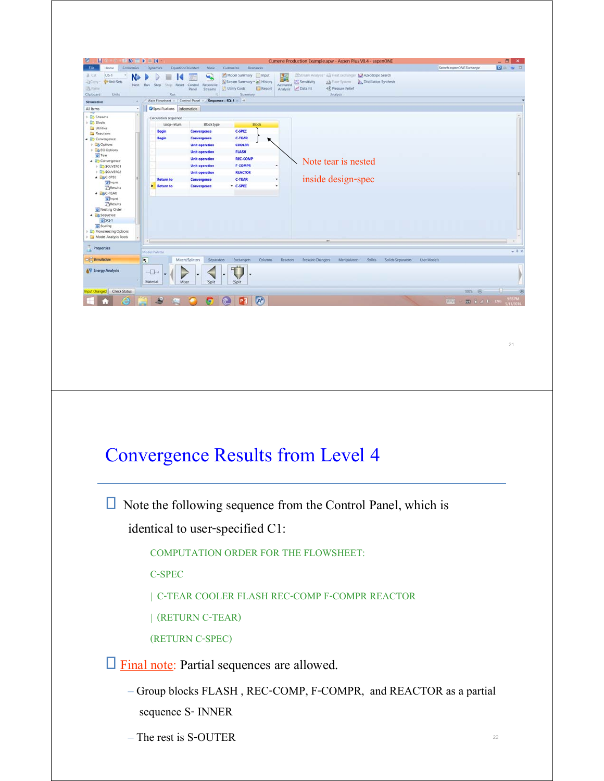

 $\square$  Final note: Partial sequences are allowed.

- Group blocks FLASH , REC-COMP, F-COMPR, and REACTOR as a partial sequence S- INNER
- The rest is S-OUTER